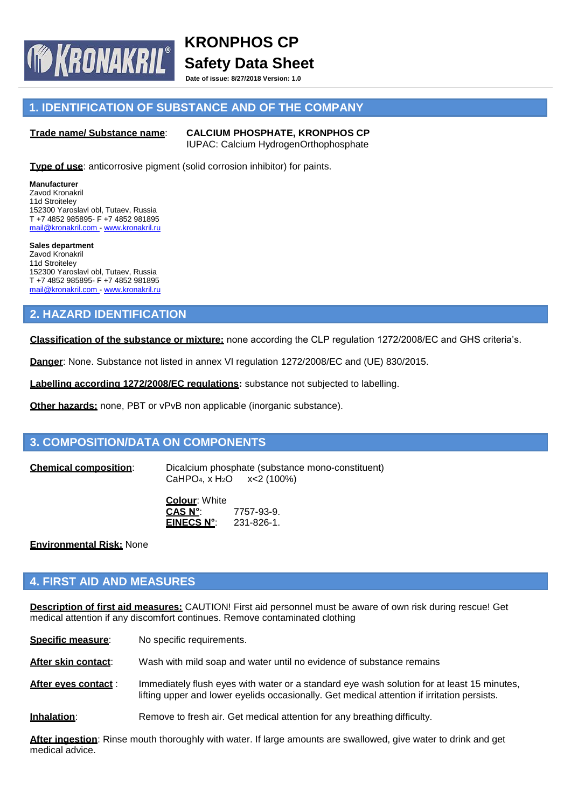**Date of issue: 8/27/2018 Version: 1.0**

# **1. IDENTIFICATION OF SUBSTANCE AND OF THE COMPANY**

### **Trade name/ Substance name**: **CALCIUM PHOSPHATE, KRONPHOS CP**

**IF KRONAKRIL®** 

IUPAC: Calcium HydrogenOrthophosphate

**Type of use:** anticorrosive pigment (solid corrosion inhibitor) for paints.

**Manufacturer** Zavod Kronakril 11d Stroiteley 152300 Yaroslavl obl, Tutaev, Russia T +7 4852 985895- F +7 4852 981895 [mail@kronakril.com -](mailto:mail@kronakril.com) [www.kronakril.ru](http://www.kronakril.ru/)

**Sales department** Zavod Kronakril 11d Stroiteley 152300 Yaroslavl obl, Tutaev, Russia T +7 4852 985895- F +7 4852 981895 [mail@kronakril.com -](mailto:mail@kronakril.com) [www.kronakril.ru](http://www.kronakril.ru/)

# **2. HAZARD IDENTIFICATION**

**Classification of the substance or mixture:** none according the CLP regulation 1272/2008/EC and GHS criteria's.

**Danger**: None. Substance not listed in annex VI regulation 1272/2008/EC and (UE) 830/2015.

**Labelling according 1272/2008/EC regulations:** substance not subjected to labelling.

**Other hazards:** none, PBT or vPvB non applicable (inorganic substance).

# **3. COMPOSITION/DATA ON COMPONENTS**

**Chemical composition**: Dicalcium phosphate (substance mono-constituent) CaHPO<sub>4</sub>, x H<sub>2</sub>O x < 2 (100%)

> **Colour**: White **CAS N°**: 7757-93-9. **EINECS N°**: 231-826-1.

**Environmental Risk:** None

# **4. FIRST AID AND MEASURES**

**Description of first aid measures:** CAUTION! First aid personnel must be aware of own risk during rescue! Get medical attention if any discomfort continues. Remove contaminated clothing

| Specific measure:   | No specific requirements.                                                                                                                                                                 |
|---------------------|-------------------------------------------------------------------------------------------------------------------------------------------------------------------------------------------|
| After skin contact: | Wash with mild soap and water until no evidence of substance remains                                                                                                                      |
| After eves contact: | Immediately flush eyes with water or a standard eye wash solution for at least 15 minutes,<br>lifting upper and lower eyelids occasionally. Get medical attention if irritation persists. |
| Inhalation:         | Remove to fresh air. Get medical attention for any breathing difficulty.                                                                                                                  |

**After ingestion**: Rinse mouth thoroughly with water. If large amounts are swallowed, give water to drink and get medical advice.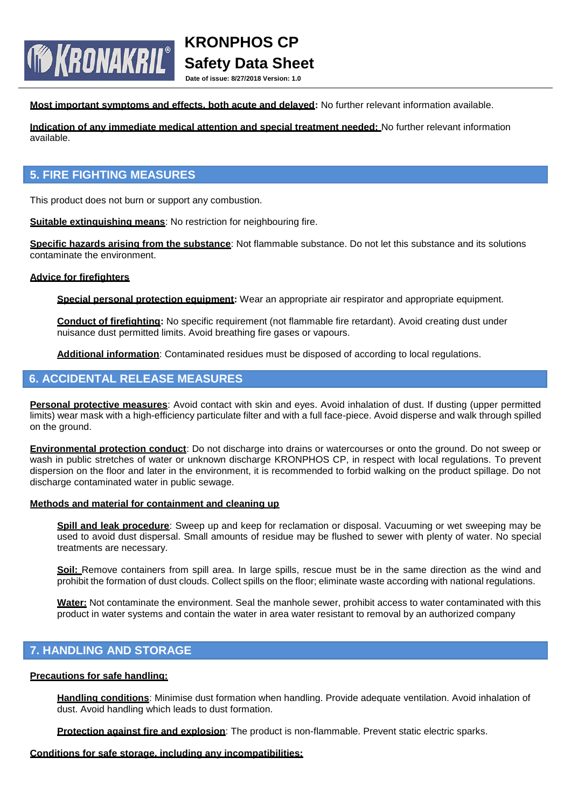**Date of issue: 8/27/2018 Version: 1.0**

**Most important symptoms and effects, both acute and delayed:** No further relevant information available.

**Indication of any immediate medical attention and special treatment needed:** No further relevant information available.

### **5. FIRE FIGHTING MEASURES**

**TO KRONAKRIL**®

This product does not burn or support any combustion.

**Suitable extinguishing means:** No restriction for neighbouring fire.

**Specific hazards arising from the substance**: Not flammable substance. Do not let this substance and its solutions contaminate the environment.

### **Advice for firefighters**

**Special personal protection equipment:** Wear an appropriate air respirator and appropriate equipment.

**Conduct of firefighting:** No specific requirement (not flammable fire retardant). Avoid creating dust under nuisance dust permitted limits. Avoid breathing fire gases or vapours.

**Additional information**: Contaminated residues must be disposed of according to local regulations.

# **6. ACCIDENTAL RELEASE MEASURES**

**Personal protective measures**: Avoid contact with skin and eyes. Avoid inhalation of dust. If dusting (upper permitted limits) wear mask with a high-efficiency particulate filter and with a full face-piece. Avoid disperse and walk through spilled on the ground.

**Environmental protection conduct**: Do not discharge into drains or watercourses or onto the ground. Do not sweep or wash in public stretches of water or unknown discharge KRONPHOS CP, in respect with local regulations. To prevent dispersion on the floor and later in the environment, it is recommended to forbid walking on the product spillage. Do not discharge contaminated water in public sewage.

#### **Methods and material for containment and cleaning up**

**Spill and leak procedure**: Sweep up and keep for reclamation or disposal. Vacuuming or wet sweeping may be used to avoid dust dispersal. Small amounts of residue may be flushed to sewer with plenty of water. No special treatments are necessary.

**Soil:** Remove containers from spill area. In large spills, rescue must be in the same direction as the wind and prohibit the formation of dust clouds. Collect spills on the floor; eliminate waste according with national regulations.

**Water:** Not contaminate the environment. Seal the manhole sewer, prohibit access to water contaminated with this product in water systems and contain the water in area water resistant to removal by an authorized company

### **7. HANDLING AND STORAGE**

#### **Precautions for safe handling:**

**Handling conditions**: Minimise dust formation when handling. Provide adequate ventilation. Avoid inhalation of dust. Avoid handling which leads to dust formation.

**Protection against fire and explosion**: The product is non-flammable. Prevent static electric sparks.

#### **Conditions for safe storage, including any incompatibilities:**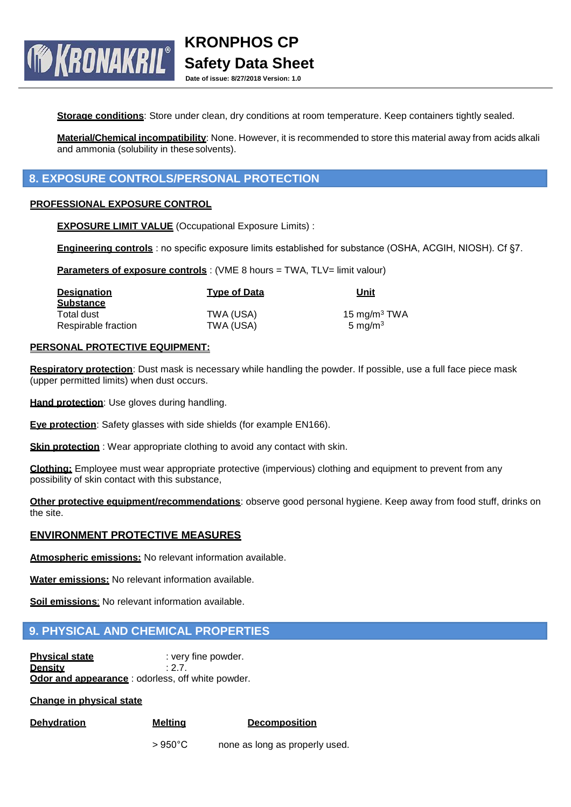**Date of issue: 8/27/2018 Version: 1.0**

Storage conditions: Store under clean, dry conditions at room temperature. Keep containers tightly sealed.

**Material/Chemical incompatibility**: None. However, it is recommended to store this material away from acids alkali and ammonia (solubility in thesesolvents).

# **8. EXPOSURE CONTROLS/PERSONAL PROTECTION**

### **PROFESSIONAL EXPOSURE CONTROL**

**TO KRONAKRIL®** 

**EXPOSURE LIMIT VALUE** (Occupational Exposure Limits) :

**Engineering controls** : no specific exposure limits established for substance (OSHA, ACGIH, NIOSH). Cf §7.

**Parameters of exposure controls**: (VME 8 hours = TWA, TLV= limit valour)

| <b>Designation</b>  | <b>Type of Data</b> | Unit               |
|---------------------|---------------------|--------------------|
| <b>Substance</b>    |                     |                    |
| Total dust          | TWA (USA)           | 15 mg/m $3$ TWA    |
| Respirable fraction | TWA (USA)           | $5 \text{ ma/m}^3$ |

### **PERSONAL PROTECTIVE EQUIPMENT:**

**Respiratory protection**: Dust mask is necessary while handling the powder. If possible, use a full face piece mask (upper permitted limits) when dust occurs.

**Hand protection**: Use gloves during handling.

**Eye protection**: Safety glasses with side shields (for example EN166).

**Skin protection** : Wear appropriate clothing to avoid any contact with skin.

**Clothing:** Employee must wear appropriate protective (impervious) clothing and equipment to prevent from any possibility of skin contact with this substance,

**Other protective equipment/recommendations**: observe good personal hygiene. Keep away from food stuff, drinks on the site.

### **ENVIRONMENT PROTECTIVE MEASURES**

**Atmospheric emissions:** No relevant information available.

**Water emissions:** No relevant information available.

**Soil emissions**: No relevant information available.

# **9. PHYSICAL AND CHEMICAL PROPERTIES**

**Physical state** : very fine powder. **Density** : 2.7. **Odor and appearance** : odorless, off white powder.

**Change in physical state**

**Dehydration Melting Decomposition**

> 950°C none as long as properly used.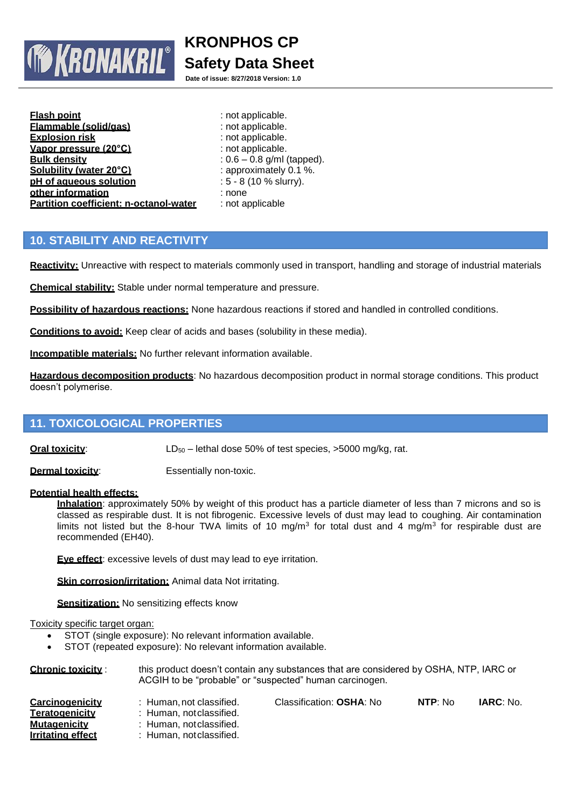

**Date of issue: 8/27/2018 Version: 1.0**

| <b>Flash point</b>                     |
|----------------------------------------|
| Flammable (solid/gas)                  |
| <b>Explosion risk</b>                  |
| Vapor pressure (20°C)                  |
| <b>Bulk density</b>                    |
| Solubility (water 20°C)                |
| pH of aqueous solution                 |
| other information                      |
| Partition coefficient: n-octanol-water |

**Flash point** : not applicable. **Flammable (solid/gas)** : not applicable. **Explosion risk** : not applicable. **Vapor pressure (20°C)** : not applicable. **Bulk density** : 0.6 – 0.8 g/ml (tapped). **Solubility (water 20°C)** : approximately 0.1 %. **pH of aqueous solution** : 5 - 8 (10 % slurry). **other information** : none **Partition coefficient: n-octanol-water** : not applicable

# **10. STABILITY AND REACTIVITY**

**Reactivity:** Unreactive with respect to materials commonly used in transport, handling and storage of industrial materials

**Chemical stability:** Stable under normal temperature and pressure.

**Possibility of hazardous reactions:** None hazardous reactions if stored and handled in controlled conditions.

**Conditions to avoid:** Keep clear of acids and bases (solubility in these media).

**Incompatible materials:** No further relevant information available.

**Hazardous decomposition products**: No hazardous decomposition product in normal storage conditions. This product doesn't polymerise.

# **11. TOXICOLOGICAL PROPERTIES**

**Oral toxicity:** LD<sub>50</sub> – lethal dose 50% of test species, >5000 mg/kg, rat.

**Dermal toxicity:** Essentially non-toxic.

### **Potential health effects:**

**Inhalation**: approximately 50% by weight of this product has a particle diameter of less than 7 microns and so is classed as respirable dust. It is not fibrogenic. Excessive levels of dust may lead to coughing. Air contamination limits not listed but the 8-hour TWA limits of 10 mg/m<sup>3</sup> for total dust and 4 mg/m<sup>3</sup> for respirable dust are recommended (EH40).

**Eye effect**: excessive levels of dust may lead to eye irritation.

**Skin corrosion/irritation:** Animal data Not irritating.

**Sensitization:** No sensitizing effects know

#### Toxicity specific target organ:

- STOT (single exposure): No relevant information available.
- STOT (repeated exposure): No relevant information available.

| <b>Chronic toxicity:</b> | this product doesn't contain any substances that are considered by OSHA, NTP, IARC or<br>ACGIH to be "probable" or "suspected" human carcinogen. |                          |         |                  |  |
|--------------------------|--------------------------------------------------------------------------------------------------------------------------------------------------|--------------------------|---------|------------------|--|
| Carcinogenicity          | : Human not classified.                                                                                                                          | Classification: OSHA: No | NTP: No | <b>IARC:</b> No. |  |
| Teratogenicity           | : Human, notclassified.                                                                                                                          |                          |         |                  |  |
| <b>Mutagenicity</b>      | : Human, notclassified.                                                                                                                          |                          |         |                  |  |
| Irritating effect        | : Human, notclassified.                                                                                                                          |                          |         |                  |  |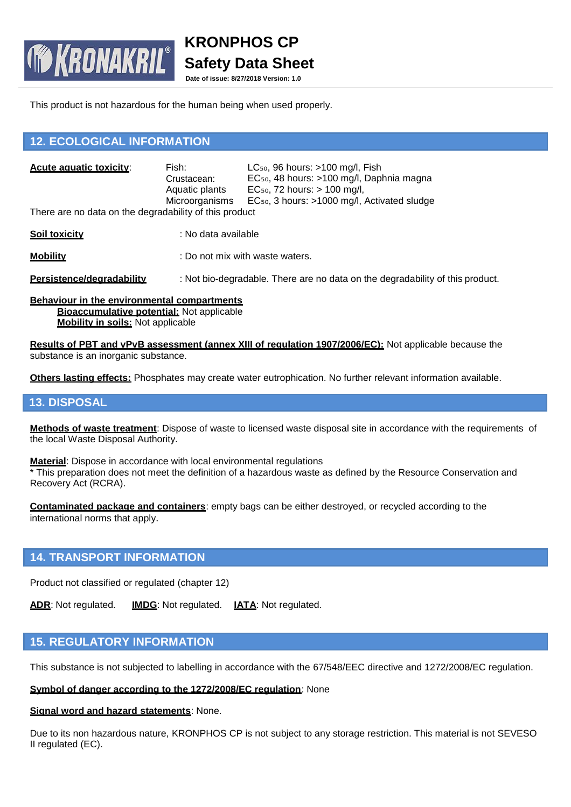**Date of issue: 8/27/2018 Version: 1.0**

This product is not hazardous for the human being when used properly.

# **12. ECOLOGICAL INFORMATION**

**TO KRONAKRIL®** 

| Acute aquatic toxicity:<br>There are no data on the degradability of this product | Fish:<br>Crustacean:<br>Aquatic plants<br>Microorganisms | $LC_{50}$ , 96 hours: $>100$ mg/l, Fish<br>EC <sub>50</sub> , 48 hours: >100 mg/l, Daphnia magna<br>$EC_{50}$ , 72 hours: $> 100$ mg/l,<br>EC <sub>50</sub> , 3 hours: >1000 mg/l, Activated sludge |
|-----------------------------------------------------------------------------------|----------------------------------------------------------|-----------------------------------------------------------------------------------------------------------------------------------------------------------------------------------------------------|
| <b>Soil toxicity</b>                                                              | : No data available                                      |                                                                                                                                                                                                     |
| <b>Mobility</b>                                                                   |                                                          | : Do not mix with waste waters.                                                                                                                                                                     |

**Persistence/degradability** : Not bio-degradable. There are no data on the degradability of this product.

**Behaviour in the environmental compartments Bioaccumulative potential:** Not applicable **Mobility in soils:** Not applicable

**Results of PBT and vPvB assessment (annex XIII of regulation 1907/2006/EC):** Not applicable because the substance is an inorganic substance.

**Others lasting effects:** Phosphates may create water eutrophication. No further relevant information available.

### **13. DISPOSAL**

**Methods of waste treatment**: Dispose of waste to licensed waste disposal site in accordance with the requirements of the local Waste Disposal Authority.

**Material**: Dispose in accordance with local environmental regulations \* This preparation does not meet the definition of a hazardous waste as defined by the Resource Conservation and Recovery Act (RCRA).

**Contaminated package and containers**: empty bags can be either destroyed, or recycled according to the international norms that apply.

### **14. TRANSPORT INFORMATION**

Product not classified or regulated (chapter 12)

**ADR**: Not regulated. **IMDG**: Not regulated. **IATA**: Not regulated.

# **15. REGULATORY INFORMATION**

This substance is not subjected to labelling in accordance with the 67/548/EEC directive and 1272/2008/EC regulation.

### **Symbol of danger according to the 1272/2008/EC regulation**: None

### **Signal word and hazard statements**: None.

Due to its non hazardous nature, KRONPHOS CP is not subject to any storage restriction. This material is not SEVESO II regulated (EC).